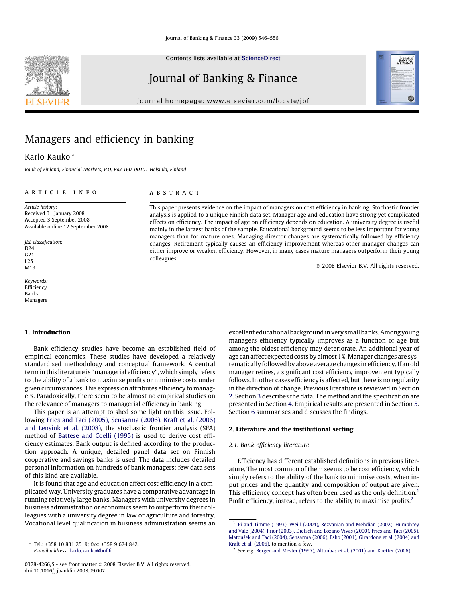Contents lists available at [ScienceDirect](http://www.sciencedirect.com/science/journal/03784266)

# Journal of Banking & Finance

journal homepage: [www.elsevier.com/locate/jbf](http://www.elsevier.com/locate/jbf)



# Managers and efficiency in banking

# Karlo Kauko \*

Bank of Finland, Financial Markets, P.O. Box 160, 00101 Helsinki, Finland

## article info

Article history: Received 31 January 2008 Accepted 3 September 2008 Available online 12 September 2008

JEL classification:  $D24$ G21 L25 M19

Keywords: Efficiency Banks Managers

#### ABSTRACT

This paper presents evidence on the impact of managers on cost efficiency in banking. Stochastic frontier analysis is applied to a unique Finnish data set. Manager age and education have strong yet complicated effects on efficiency. The impact of age on efficiency depends on education. A university degree is useful mainly in the largest banks of the sample. Educational background seems to be less important for young managers than for mature ones. Managing director changes are systematically followed by efficiency changes. Retirement typically causes an efficiency improvement whereas other manager changes can either improve or weaken efficiency. However, in many cases mature managers outperform their young colleagues.

© 2008 Elsevier B.V. All rights reserved.

### 1. Introduction

Bank efficiency studies have become an established field of empirical economics. These studies have developed a relatively standardised methodology and conceptual framework. A central term in this literature is ''managerial efficiency", which simply refers to the ability of a bank to maximise profits or minimise costs under given circumstances. This expression attributes efficiency to managers. Paradoxically, there seem to be almost no empirical studies on the relevance of managers to managerial efficiency in banking.

This paper is an attempt to shed some light on this issue. Following [Fries and Taci \(2005\), Sensarma \(2006\), Kraft et al. \(2006\)](#page-10-0) [and Lensink et al. \(2008\),](#page-10-0) the stochastic frontier analysis (SFA) method of [Battese and Coelli \(1995\)](#page-10-0) is used to derive cost efficiency estimates. Bank output is defined according to the production approach. A unique, detailed panel data set on Finnish cooperative and savings banks is used. The data includes detailed personal information on hundreds of bank managers; few data sets of this kind are available.

It is found that age and education affect cost efficiency in a complicated way. University graduates have a comparative advantage in running relatively large banks. Managers with university degrees in business administration or economics seem to outperform their colleagues with a university degree in law or agriculture and forestry. Vocational level qualification in business administration seems an

follows. In other cases efficiency is affected, but there is no regularity in the direction of change. Previous literature is reviewed in Section 2. Section [3](#page-1-0) describes the data. The method and the specification are presented in Section [4.](#page-3-0) Empirical results are presented in Section [5.](#page-4-0) Section [6](#page-8-0) summarises and discusses the findings. 2. Literature and the institutional setting 2.1. Bank efficiency literature

Efficiency has different established definitions in previous literature. The most common of them seems to be cost efficiency, which simply refers to the ability of the bank to minimise costs, when input prices and the quantity and composition of output are given. This efficiency concept has often been used as the only definition.<sup>1</sup> Profit efficiency, instead, refers to the ability to maximise profits.<sup>2</sup>

excellent educational background in very small banks. Among young managers efficiency typically improves as a function of age but among the oldest efficiency may deteriorate. An additional year of age can affect expected costs by almost 1%.Manager changes are systematically followed by above average changes in efficiency. If an old manager retires, a significant cost efficiency improvement typically

<sup>\*</sup> Tel.: +358 10 831 2519; fax: +358 9 624 842. E-mail address: [karlo.kauko@bof.fi](mailto:karlo.kauko@bof.fi).

<sup>&</sup>lt;sup>1</sup> [Pi and Timme \(1993\), Weill \(2004\), Rezvanian and Mehdian \(2002\), Humphrey](#page-10-0) [and Vale \(2004\), Prior \(2003\), Dietsch and Lozano Vivas \(2000\), Fries and Taci \(2005\),](#page-10-0) [Matoušek and Taci \(2004\), Sensarma \(2006\), Esho \(2001\), Girardone et al. \(2004\) and](#page-10-0) [Kraft et al. \(2006\),](#page-10-0) to mention a few.

<sup>2</sup> See e.g. [Berger and Mester \(1997\), Altunbas et al. \(2001\) and Koetter \(2006\).](#page-10-0)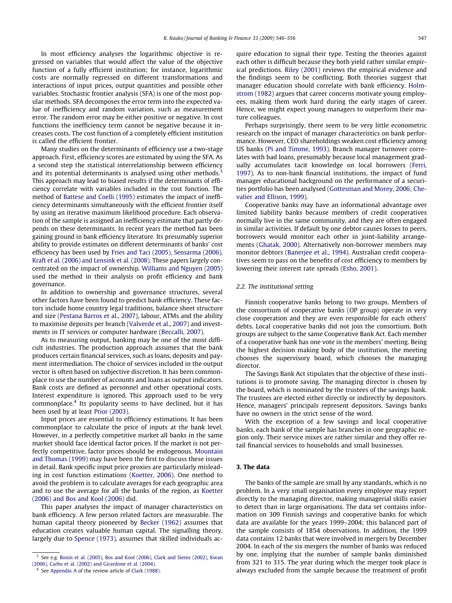<span id="page-1-0"></span>In most efficiency analyses the logarithmic objective is regressed on variables that would affect the value of the objective function of a fully efficient institution; for instance, logarithmic costs are normally regressed on different transformations and interactions of input prices, output quantities and possible other variables. Stochastic frontier analysis (SFA) is one of the most popular methods. SFA decomposes the error term into the expected value of inefficiency and random variation, such as measurement error. The random error may be either positive or negative. In cost functions the inefficiency term cannot be negative because it increases costs. The cost function of a completely efficient institution is called the efficient frontier.

Many studies on the determinants of efficiency use a two-stage approach. First, efficiency scores are estimated by using the SFA. As a second step the statistical interrelationship between efficiency and its potential determinants is analysed using other methods.<sup>3</sup> This approach may lead to biased results if the determinants of efficiency correlate with variables included in the cost function. The method of [Battese and Coelli \(1995\)](#page-10-0) estimates the impact of inefficiency determinants simultaneously with the efficient frontier itself by using an iterative maximum likelihood procedure. Each observation of the sample is assigned an inefficiency estimate that partly depends on these determinants. In recent years the method has been gaining ground in bank efficiency literature. Its presumably superior ability to provide estimates on different determinants of banks' cost efficiency has been used by [Fries and Taci \(2005\), Sensarma \(2006\),](#page-10-0) [Kraft et al. \(2006\) and Lensink et al. \(2008\)](#page-10-0). These papers largely concentrated on the impact of ownership. [Williams and Nguyen \(2005\)](#page-10-0) used the method in their analysis on profit efficiency and bank governance.

In addition to ownership and governance structures, several other factors have been found to predict bank efficiency. These factors include home country legal traditions, balance sheet structure and size ([Pestana Barros et al., 2007\)](#page-10-0), labour, ATMs and the ability to maximise deposits per branch [\(Valverde et al., 2007](#page-10-0)) and investments in IT services or computer hardware ([Beccalli, 2007\)](#page-10-0).

As to measuring output, banking may be one of the most difficult industries. The production approach assumes that the bank produces certain financial services, such as loans, deposits and payment intermediation. The choice of services included in the output vector is often based on subjective discretion. It has been commonplace to use the number of accounts and loans as output indicators. Bank costs are defined as personnel and other operational costs. Interest expenditure is ignored. This approach used to be very commonplace.<sup>4</sup> Its popularity seems to have declined, but it has been used by at least [Prior \(2003\).](#page-10-0)

Input prices are essential to efficiency estimations. It has been commonplace to calculate the price of inputs at the bank level. However, in a perfectly competitive market all banks in the same market should face identical factor prices. If the market is not perfectly competitive, factor prices should be endogenous. [Mountain](#page-10-0) [and Thomas \(1999\)](#page-10-0) may have been the first to discuss these issues in detail. Bank specific input price proxies are particularly misleading in cost function estimations ([Koetter, 2006\)](#page-10-0). One method to avoid the problem is to calculate averages for each geographic area and to use the average for all the banks of the region, as [Koetter](#page-10-0) [\(2006\) and Bos and Kool \(2006\)](#page-10-0) did.

This paper analyses the impact of manager characteristics on bank efficiency. A few person related factors are measurable. The human capital theory pioneered by [Becker \(1962\)](#page-10-0) assumes that education creates valuable human capital. The signalling theory, largely due to [Spence \(1973\),](#page-10-0) assumes that skilled individuals acquire education to signal their type. Testing the theories against each other is difficult because they both yield rather similar empirical predictions. [Riley \(2001\)](#page-10-0) reviews the empirical evidence and the findings seem to be conflicting. Both theories suggest that manager education should correlate with bank efficiency. [Holm](#page-10-0)[strom \(1982\)](#page-10-0) argues that career concerns motivate young employees, making them work hard during the early stages of career. Hence, we might expect young managers to outperform their mature colleagues.

Perhaps surprisingly, there seem to be very little econometric research on the impact of manager characteristics on bank performance. However, CEO shareholdings weaken cost efficiency among US banks ([Pi and Timme, 1993\)](#page-10-0). Branch manager turnover correlates with bad loans, presumably because local management gradually accumulates tacit knowledge on local borrowers [\(Ferri,](#page-10-0) [1997\)](#page-10-0). As to non-bank financial institutions, the impact of fund manager educational background on the performance of a securities portfolio has been analysed [\(Gottesman and Morey, 2006; Che](#page-10-0)[valier and Ellison, 1999\)](#page-10-0).

Cooperative banks may have an informational advantage over limited liability banks because members of credit cooperatives normally live in the same community, and they are often engaged in similar activities. If default by one debtor causes losses to peers, borrowers would monitor each other in joint-liability arrangements [\(Ghatak, 2000\)](#page-10-0). Alternatively non-borrower members may monitor debtors ([Banerjee et al., 1994](#page-10-0)). Australian credit cooperatives seem to pass on the benefits of cost efficiency to members by lowering their interest rate spreads [\(Esho, 2001](#page-10-0)).

#### 2.2. The institutional setting

Finnish cooperative banks belong to two groups. Members of the consortium of cooperative banks (OP group) operate in very close cooperation and they are even responsible for each others' debts. Local cooperative banks did not join the consortium. Both groups are subject to the same Cooperative Bank Act. Each member of a cooperative bank has one vote in the members' meeting. Being the highest decision making body of the institution, the meeting chooses the supervisory board, which chooses the managing director.

The Savings Bank Act stipulates that the objective of these institutions is to promote saving. The managing director is chosen by the board, which is nominated by the trustees of the savings bank. The trustees are elected either directly or indirectly by depositors. Hence, managers' principals represent depositors. Savings banks have no owners in the strict sense of the word.

With the exception of a few savings and local cooperative banks, each bank of the sample has branches in one geographic region only. Their service mixes are rather similar and they offer retail financial services to households and small businesses.

# 3. The data

The banks of the sample are small by any standards, which is no problem. In a very small organisation every employee may report directly to the managing director, making managerial skills easier to detect than in large organisations. The data set contains information on 309 Finnish savings and cooperative banks for which data are available for the years 1999–2004; this balanced part of the sample consists of 1854 observations. In addition, the 1999 data contains 12 banks that were involved in mergers by December 2004. In each of the six mergers the number of banks was reduced by one, implying that the number of sample banks diminished from 321 to 315. The year during which the merger took place is always excluded from the sample because the treatment of profit

 $3$  See e.g. [Bonin et al. \(2005\), Bos and Kool \(2006\), Clark and Siems \(2002\), Kwan](#page-10-0) [\(2006\), Carbo et al. \(2002\) and Girardone et al. \(2004\)](#page-10-0).

<sup>&</sup>lt;sup>4</sup> See Appendix A of the review article of [Clark \(1988\)](#page-10-0).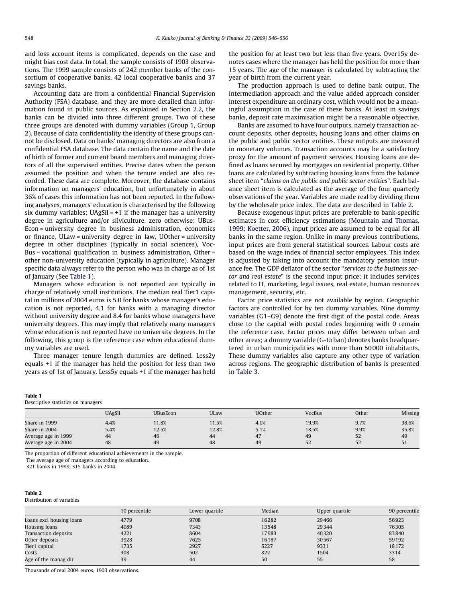and loss account items is complicated, depends on the case and might bias cost data. In total, the sample consists of 1903 observations. The 1999 sample consists of 242 member banks of the consortium of cooperative banks, 42 local cooperative banks and 37 savings banks.

Accounting data are from a confidential Financial Supervision Authority (FSA) database, and they are more detailed than information found in public sources. As explained in Section [2.2](#page-1-0), the banks can be divided into three different groups. Two of these three groups are denoted with dummy variables (Group 1, Group 2). Because of data confidentiality the identity of these groups cannot be disclosed. Data on banks' managing directors are also from a confidential FSA database. The data contain the name and the date of birth of former and current board members and managing directors of all the supervised entities. Precise dates when the person assumed the position and when the tenure ended are also recorded. These data are complete. Moreover, the database contains information on managers' education, but unfortunately in about 36% of cases this information has not been reported. In the following analyses, managers' education is characterised by the following six dummy variables;  $UAgSiI = +1$  if the manager has a university degree in agriculture and/or silviculture, zero otherwise; UBus-Econ = university degree in business administration, economics or finance, ULaw = university degree in law, UOther = university degree in other disciplines (typically in social sciences), Voc-Bus = vocational qualification in business administration, Other = other non-university education (typically in agriculture). Manager specific data always refer to the person who was in charge as of 1st of January (See Table 1).

Managers whose education is not reported are typically in charge of relatively small institutions. The median real Tier1 capital in millions of 2004 euros is 5.0 for banks whose manager's education is not reported, 4.1 for banks with a managing director without university degree and 8.4 for banks whose managers have university degrees. This may imply that relatively many managers whose education is not reported have no university degrees. In the following, this group is the reference case when educational dummy variables are used.

Three manager tenure length dummies are defined. Less2y equals +1 if the manager has held the position for less than two years as of 1st of January. Less5y equals +1 if the manager has held the position for at least two but less than five years. Over15y denotes cases where the manager has held the position for more than 15 years. The age of the manager is calculated by subtracting the year of birth from the current year.

The production approach is used to define bank output. The intermediation approach and the value added approach consider interest expenditure an ordinary cost, which would not be a meaningful assumption in the case of these banks. At least in savings banks, deposit rate maximisation might be a reasonable objective.

Banks are assumed to have four outputs, namely transaction account deposits, other deposits, housing loans and other claims on the public and public sector entities. These outputs are measured in monetary volumes. Transaction accounts may be a satisfactory proxy for the amount of payment services. Housing loans are defined as loans secured by mortgages on residential property. Other loans are calculated by subtracting housing loans from the balance sheet item ''claims on the public and public sector entities". Each balance sheet item is calculated as the average of the four quarterly observations of the year. Variables are made real by dividing them by the wholesale price index. The data are described in Table 2.

Because exogenous input prices are preferable to bank-specific estimates in cost efficiency estimations ([Mountain and Thomas,](#page-10-0) [1999; Koetter, 2006\)](#page-10-0), input prices are assumed to be equal for all banks in the same region. Unlike in many previous contributions, input prices are from general statistical sources. Labour costs are based on the wage index of financial sector employees. This index is adjusted by taking into account the mandatory pension insurance fee. The GDP deflator of the sector ''services to the business sector and real estate" is the second input price; it includes services related to IT, marketing, legal issues, real estate, human resources management, security, etc.

Factor price statistics are not available by region. Geographic factors are controlled for by ten dummy variables. Nine dummy variables (G1–G9) denote the first digit of the postal code. Areas close to the capital with postal codes beginning with 0 remain the reference case. Factor prices may differ between urban and other areas; a dummy variable (G-Urban) denotes banks headquartered in urban municipalities with more than 50000 inhabitants. These dummy variables also capture any other type of variation across regions. The geographic distribution of banks is presented in [Table 3.](#page-3-0)

#### Table 1

Descriptive statistics on managers

|                     | <b>UAgSil</b> | <b>UBusEcon</b> | ULaw  | UOther | VocBus | Other | Missing |
|---------------------|---------------|-----------------|-------|--------|--------|-------|---------|
| Share in 1999       | 4.4%          | 11.8%           | 11.5% | 4.0%   | 19.9%  | 9.7%  | 38.6%   |
| Share in 2004       | 5.4%          | 12.5%           | 12.8% | 5.1%   | 18.5%  | 9.9%  | 35.8%   |
| Average age in 1999 | 44            | 46              | 44    | 47     | 49     | 52    | 49      |
| Average age in 2004 | 48            | 49              | 48    | 49     | 52     | 52    | 51      |

The proportion of different educational achievements in the sample.

The average age of managers according to education.

321 banks in 1999, 315 banks in 2004.

#### Table 2

#### Distribution of variables

|                          | 10 percentile | Lower quartile | Median | Upper quartile | 90 percentile |
|--------------------------|---------------|----------------|--------|----------------|---------------|
| Loans excl housing loans | 4779          | 9708           | 16282  | 29466          | 56923         |
| Housing loans            | 4089          | 7343           | 13548  | 29344          | 76305         |
| Transaction deposits     | 4221          | 8604           | 17983  | 40320          | 83840         |
| Other deposits           | 3928          | 7625           | 16187  | 30567          | 59192         |
| Tier1 capital            | 1735          | 2927           | 5227   | 9331           | 18172         |
| Costs                    | 308           | 502            | 822    | 1504           | 3314          |
| Age of the manag dir     | 39            | 44             | 50     | 55             | 58            |

Thousands of real 2004 euros, 1903 observations.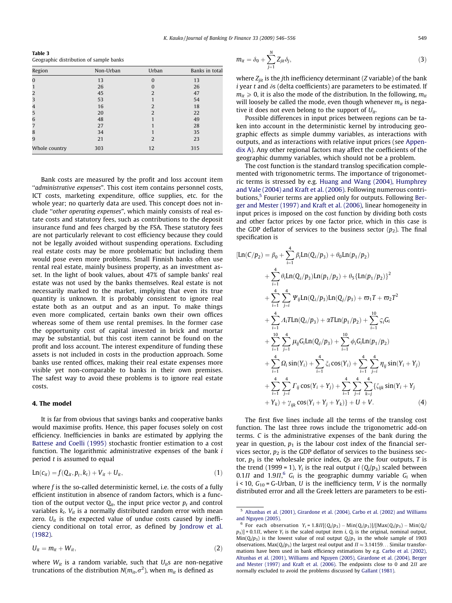<span id="page-3-0"></span>Table 3 Geographic distribution of sample banks

| Region        | Non-Urban | Urban          | Banks in total |
|---------------|-----------|----------------|----------------|
| $\Omega$      | 13        | $\Omega$       | 13             |
|               | 26        |                | 26             |
| 2             | 45        | $\overline{2}$ | 47             |
| 3             | 53        |                | 54             |
| 4             | 16        | $\overline{2}$ | 18             |
| 5             | 20        | $\overline{2}$ | 22             |
| 6             | 48        |                | 49             |
| 7             | 27        |                | 28             |
| 8             | 34        |                | 35             |
| 9             | 21        | $\overline{2}$ | 23             |
| Whole country | 303       | 12             | 315            |

Bank costs are measured by the profit and loss account item "administrative expenses". This cost item contains personnel costs, ICT costs, marketing expenditure, office supplies, etc. for the whole year; no quarterly data are used. This concept does not include ''other operating expenses", which mainly consists of real estate costs and statutory fees, such as contributions to the deposit insurance fund and fees charged by the FSA. These statutory fees are not particularly relevant to cost efficiency because they could not be legally avoided without suspending operations. Excluding real estate costs may be more problematic but including them would pose even more problems. Small Finnish banks often use rental real estate, mainly business property, as an investment asset. In the light of book values, about 47% of sample banks' real estate was not used by the banks themselves. Real estate is not necessarily marked to the market, implying that even its true quantity is unknown. It is probably consistent to ignore real estate both as an output and as an input. To make things even more complicated, certain banks own their own offices whereas some of them use rental premises. In the former case the opportunity cost of capital invested in brick and mortar may be substantial, but this cost item cannot be found on the profit and loss account. The interest expenditure of funding these assets is not included in costs in the production approach. Some banks use rented offices, making their real estate expenses more visible yet non-comparable to banks in their own premises. The safest way to avoid these problems is to ignore real estate costs.

#### 4. The model

It is far from obvious that savings banks and cooperative banks would maximise profits. Hence, this paper focuses solely on cost efficiency. Inefficiencies in banks are estimated by applying the [Battese and Coelli \(1995\)](#page-10-0) stochastic frontier estimation to a cost function. The logarithmic administrative expenses of the bank i period  $t$  is assumed to equal

$$
Ln(c_{it}) = f(Q_{it}, p_t, k_t) + V_{it} + U_{it}, \qquad (1)
$$

where  $f$  is the so-called deterministic kernel, i.e. the costs of a fully efficient institution in absence of random factors, which is a function of the output vector  $Q_{it}$ , the input price vector  $p_t$  and control variables  $k_t$ .  $V_{it}$  is a normally distributed random error with mean zero.  $U_{it}$  is the expected value of undue costs caused by inefficiency conditional on total error, as defined by [Jondrow et al.](#page-10-0) [\(1982\)](#page-10-0).

$$
U_{it} = m_{it} + W_{it}, \qquad (2)
$$

where  $W_{it}$  is a random variable, such that  $U_{it}$ s are non-negative truncations of the distribution  $N(m_{it},\sigma^2)$ , when  $m_{it}$  is defined as

$$
m_{it} = \delta_0 + \sum_{j=1}^{N} Z_{jit} \delta_j,
$$
\n(3)

where  $Z_{ijt}$  is the *j*th inefficiency determinant (*Z* variable) of the bank  $i$  year t and  $\delta s$  (delta coefficients) are parameters to be estimated. If  $m_{it} \geq 0$ , it is also the mode of the distribution. In the following,  $m_{it}$ will loosely be called the mode, even though whenever  $m_{it}$  is negative it does not even belong to the support of  $U_{it}$ .

Possible differences in input prices between regions can be taken into account in the deterministic kernel by introducing geographic effects as simple dummy variables, as interactions with outputs, and as interactions with relative input prices (see Appendix A). Any other regional factors may affect the coefficients of the geographic dummy variables, which should not be a problem.

The cost function is the standard translog specification complemented with trigonometric terms. The importance of trigonometric terms is stressed by e.g. [Huang and Wang \(2004\), Humphrey](#page-10-0) [and Vale \(2004\) and Kraft et al. \(2006\).](#page-10-0) Following numerous contri-butions,<sup>5</sup> Fourier terms are applied only for outputs. Following [Ber](#page-10-0)[ger and Mester \(1997\) and Kraft et al. \(2006\)](#page-10-0), linear homogeneity in input prices is imposed on the cost function by dividing both costs and other factor prices by one factor price, which in this case is the GDP deflator of services to the business sector  $(p_2)$ . The final specification is

$$
\begin{split}\n[\text{Ln}(C/p_{2}) &= \beta_{0} + \sum_{i=1}^{4} \beta_{i} \text{Ln}(Q_{i}/p_{3}) + \theta_{0} \text{Ln}(p_{1}/p_{2}) \\
&+ \sum_{i=1}^{4} \theta_{i} \text{Ln}(Q_{i}/p_{3}) \text{Ln}(p_{1}/p_{2}) + \theta_{5} \{\text{Ln}(p_{1}/p_{2})\}^{2} \\
&+ \sum_{i=1}^{4} \sum_{j=i}^{4} \Psi_{ij} \text{Ln}(Q_{i}/p_{3}) \text{Ln}(Q_{j}/p_{3}) + \varpi_{1} T + \varpi_{2} T^{2} \\
&+ \sum_{i=1}^{4} \Lambda_{i} \text{TLn}(Q_{i}/p_{3}) + \alpha T \text{Ln}(p_{1}/p_{2}) + \sum_{i=1}^{10} \zeta_{i} G_{i} \\
&+ \sum_{i=1}^{10} \sum_{j=1}^{4} \mu_{ij} G_{i} \text{Ln}(Q_{j}/p_{3}) + \sum_{i=1}^{10} \phi_{i} G_{i} \text{Ln}(p_{1}/p_{2}) \\
&+ \sum_{i=1}^{4} \Omega_{i} \sin(Y_{i}) + \sum_{i=1}^{4} \xi_{i} \cos(Y_{i}) + \sum_{i=1}^{4} \sum_{j=i}^{4} \eta_{ij} \sin(Y_{i} + Y_{j}) \\
&+ \sum_{i=1}^{4} \sum_{j=i}^{4} \Gamma_{ij} \cos(Y_{i} + Y_{j}) + \sum_{i=1}^{4} \sum_{j=i}^{4} \sum_{k=j}^{4} \xi_{ijk} \sin(Y_{i} + Y_{j} + Y_{k}) + Y_{ik} \cos(Y_{i} + Y_{j} + Y_{k}) + U + V.\n\end{split}
$$
\n(4)

The first five lines include all the terms of the translog cost function. The last three rows include the trigonometric add-on terms. C is the administrative expenses of the bank during the year in question,  $p_1$  is the labour cost index of the financial services sector,  $p_2$  is the GDP deflator of services to the business sector,  $p_3$  is the wholesale price index, Qs are the four outputs, T is the trend (1999 = 1),  $Y_i$  is the real output *i* ( $Q_i/p_3$ ) scaled between 0.1 $\Pi$  and 1.9 $\Pi$ <sup>6</sup>,  $G_i$  is the geographic dummy variable  $G_i$  when  $i$  < 10,  $G_{10}$  = G-Urban, U is the inefficiency term, V is the normally distributed error and all the Greek letters are parameters to be esti-

<sup>5</sup> [Altunbas et al. \(2001\), Girardone et al. \(2004\), Carbo et al. \(2002\) and Williams](#page-10-0) [and Nguyen \(2005\).](#page-10-0)

<sup>&</sup>lt;sup>6</sup> For each observation  $Y_i = 1.8\Pi[(Q_i/p_3) - \text{Min}(Q_i/p_3)]/[\text{Max}(Q_i/p_3) - \text{Min}(Q_i/p_3)]$  $[p_3]$  + 0.1*II*, where  $Y_i$  is the scaled output item *i*,  $Q_i$  is the original, nominal output,  $Min(Q_i/p_3)$  is the lowest value of real output  $Q_i/p_3$  in the whole sample of 1903 observations, Max $(Q_i/p_3)$  the largest real output and  $\Pi \approx 3.14159...$  Similar transformations have been used in bank efficiency estimations by e.g. [Carbo et al. \(2002\),](#page-10-0) [Altunbas et al. \(2001\), Williams and Nguyen \(2005\), Girardone et al. \(2004\), Berger](#page-10-0) [and Mester \(1997\) and Kraft et al. \(2006\)](#page-10-0). The endpoints close to 0 and  $2\Pi$  are normally excluded to avoid the problems discussed by [Gallant \(1981\).](#page-10-0)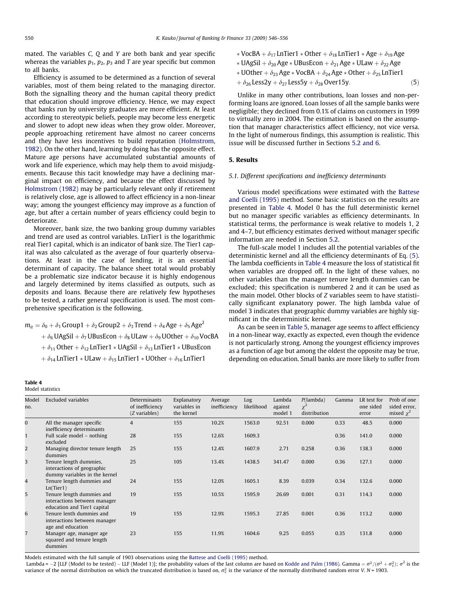<span id="page-4-0"></span>mated. The variables C, Q and Y are both bank and year specific whereas the variables  $p_1$ ,  $p_2$ ,  $p_3$  and T are year specific but common to all banks.

Efficiency is assumed to be determined as a function of several variables, most of them being related to the managing director. Both the signalling theory and the human capital theory predict that education should improve efficiency. Hence, we may expect that banks run by university graduates are more efficient. At least according to stereotypic beliefs, people may become less energetic and slower to adopt new ideas when they grow older. Moreover, people approaching retirement have almost no career concerns and they have less incentives to build reputation ([Holmstrom,](#page-10-0) [1982\)](#page-10-0). On the other hand, learning by doing has the opposite effect. Mature age persons have accumulated substantial amounts of work and life experience, which may help them to avoid misjudgements. Because this tacit knowledge may have a declining marginal impact on efficiency, and because the effect discussed by [Holmstrom \(1982\)](#page-10-0) may be particularly relevant only if retirement is relatively close, age is allowed to affect efficiency in a non-linear way; among the youngest efficiency may improve as a function of age, but after a certain number of years efficiency could begin to deteriorate.

Moreover, bank size, the two banking group dummy variables and trend are used as control variables. LnTier1 is the logarithmic real Tier1 capital, which is an indicator of bank size. The Tier1 capital was also calculated as the average of four quarterly observations. At least in the case of lending, it is an essential determinant of capacity. The balance sheet total would probably be a problematic size indicator because it is highly endogenous and largely determined by items classified as outputs, such as deposits and loans. Because there are relatively few hypotheses to be tested, a rather general specification is used. The most comprehensive specification is the following.

 $m_{it} = \delta_0 + \delta_1 G$ roup $1 + \delta_2 G$ roup $2 + \delta_3$  Trend  $\delta_4$  Age  $\delta_5$  Age<sup>2</sup>  $\phi + \delta_6$  UAgSil  $\phi + \delta_7$  UBusEcon  $\phi + \delta_8$  ULaw  $\phi + \delta_9$  UOther  $\phi + \delta_{10}$  VocBA  $\phi_1 + \delta_{11}$  Other  $\phi_2$  LnTier1  $*$  UAgSil  $\phi_1$ <sub>3</sub> LnTier1  $*$  UBusEcon  $\phi_1 + \delta_{14}$  LnTier1  $*$  ULaw  $+\delta_{15}$  LnTier1  $*$  UOther  $+\delta_{16}$  LnTier1

- \* VocBA +  $\delta_{17}$  LnTier1 \* Other +  $\delta_{18}$  LnTier1 \* Age +  $\delta_{19}$  Age
- \* UAgSil +  $\delta_{20}$  Age \* UBusEcon +  $\delta_{21}$  Age \* ULaw +  $\delta_{22}$  Age
- \* UOther +  $\delta_{23}$  Age \* VocBA +  $\delta_{24}$  Age \* Other +  $\delta_{25}$  LnTier1
- $+\delta_{26}$  Less2y  $+\delta_{27}$  Less5y  $+\delta_{28}$  Over15y.  $(5)$

Unlike in many other contributions, loan losses and non-performing loans are ignored. Loan losses of all the sample banks were negligible; they declined from 0.1% of claims on customers in 1999 to virtually zero in 2004. The estimation is based on the assumption that manager characteristics affect efficiency, not vice versa. In the light of numerous findings, this assumption is realistic. This issue will be discussed further in Sections [5.2 and 6.](#page-6-0)

# 5. Results

#### 5.1. Different specifications and inefficiency determinants

Various model specifications were estimated with the [Battese](#page-10-0) [and Coelli \(1995\)](#page-10-0) method. Some basic statistics on the results are presented in Table 4. Model 0 has the full deterministic kernel but no manager specific variables as efficiency determinants. In statistical terms, the performance is weak relative to models 1, 2 and 4–7, but efficiency estimates derived without manager specific information are needed in Section [5.2](#page-6-0).

The full-scale model 1 includes all the potential variables of the deterministic kernel and all the efficiency determinants of Eq. (5). The lambda coefficients in Table 4 measure the loss of statistical fit when variables are dropped off. In the light of these values, no other variables than the manager tenure length dummies can be excluded; this specification is numbered 2 and it can be used as the main model. Other blocks of Z variables seem to have statistically significant explanatory power. The high lambda value of model 3 indicates that geographic dummy variables are highly significant in the deterministic kernel.

As can be seen in [Table 5](#page-5-0), manager age seems to affect efficiency in a non-linear way, exactly as expected, even though the evidence is not particularly strong. Among the youngest efficiency improves as a function of age but among the oldest the opposite may be true, depending on education. Small banks are more likely to suffer from

| Table 4 |                  |
|---------|------------------|
|         | Model statistics |

| Model<br>no.   | <b>Excluded variables</b>                                                                | Determinants<br>of inefficiency<br>(Z variables) | Explanatory<br>variables in<br>the kernel | Average<br>inefficiency | Log<br>likelihood | Lambda<br>against<br>model 1 | P(lambda)<br>$\chi^2$<br>distribution | Gamma | LR test for<br>one sided<br>error | Prob of one<br>sided error,<br>mixed $\chi^2$ |
|----------------|------------------------------------------------------------------------------------------|--------------------------------------------------|-------------------------------------------|-------------------------|-------------------|------------------------------|---------------------------------------|-------|-----------------------------------|-----------------------------------------------|
| $\overline{0}$ | All the manager specific<br>inefficiency determinants                                    | $\overline{4}$                                   | 155                                       | 10.2%                   | 1563.0            | 92.51                        | 0.000                                 | 0.33  | 48.5                              | 0.000                                         |
| $\mathbf{1}$   | Full scale model - nothing<br>excluded                                                   | 28                                               | 155                                       | 12.6%                   | 1609.3            |                              |                                       | 0.36  | 141.0                             | 0.000                                         |
| $\overline{2}$ | Managing director tenure length<br>dummies                                               | 25                                               | 155                                       | 12.4%                   | 1607.9            | 2.71                         | 0.258                                 | 0.36  | 138.3                             | 0.000                                         |
| 3              | Tenure length dummies,<br>interactions of geographic<br>dummy variables in the kernel    | 25                                               | 105                                       | 13.4%                   | 1438.5            | 341.47                       | 0.000                                 | 0.36  | 127.1                             | 0.000                                         |
| 4              | Tenure length dummies and<br>Ln(Tier1)                                                   | 24                                               | 155                                       | 12.0%                   | 1605.1            | 8.39                         | 0.039                                 | 0.34  | 132.6                             | 0.000                                         |
| 5              | Tenure length dummies and<br>interactions between manager<br>education and Tier1 capital | 19                                               | 155                                       | 10.5%                   | 1595.9            | 26.69                        | 0.001                                 | 0.31  | 114.3                             | 0.000                                         |
| 6              | Tenure lenth dummies and<br>interactions between manager<br>age and education            | 19                                               | 155                                       | 12.9%                   | 1595.3            | 27.85                        | 0.001                                 | 0.36  | 113.2                             | 0.000                                         |
| $\overline{7}$ | Manager age, manager age<br>squared and tenure length<br>dummies                         | 23                                               | 155                                       | 11.9%                   | 1604.6            | 9.25                         | 0.055                                 | 0.35  | 131.8                             | 0.000                                         |

Models estimated with the full sample of 1903 observations using the [Battese and Coelli \(1995\)](#page-10-0) method.

Lambda = –2 [LLF (Model to be tested) – LLF (Model 1)]; the probability values of the last column are based on [Kodde and Palm \(1986\)](#page-10-0). Gamma =  $\sigma^2/(\sigma^2+\sigma_v^2); \ \sigma^2$  is the variance of the normal distribution on which the truncated distribution is based on,  $\sigma_v^2$  is the variance of the normally distributed random error V. N = 1903.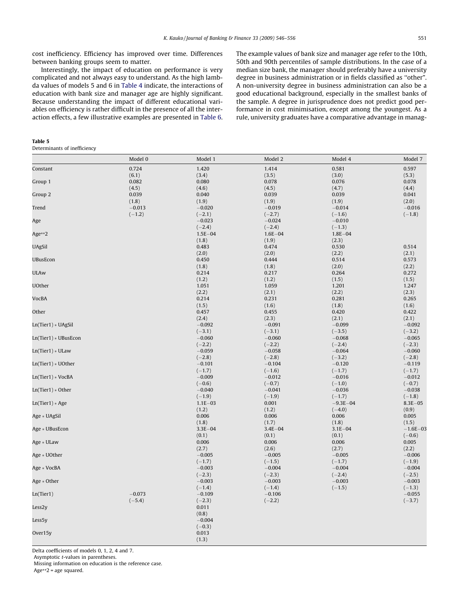<span id="page-5-0"></span>cost inefficiency. Efficiency has improved over time. Differences between banking groups seem to matter.

Interestingly, the impact of education on performance is very complicated and not always easy to understand. As the high lambda values of models 5 and 6 in [Table 4](#page-4-0) indicate, the interactions of education with bank size and manager age are highly significant. Because understanding the impact of different educational variables on efficiency is rather difficult in the presence of all the interaction effects, a few illustrative examples are presented in [Table 6.](#page-6-0)

### Table 5

Determinants of inefficiency

The example values of bank size and manager age refer to the 10th, 50th and 90th percentiles of sample distributions. In the case of a median size bank, the manager should preferably have a university degree in business administration or in fields classified as ''other". A non-university degree in business administration can also be a good educational background, especially in the smallest banks of the sample. A degree in jurisprudence does not predict good performance in cost minimisation, except among the youngest. As a rule, university graduates have a comparative advantage in manag-

|                      | Model 0  | Model 1              | Model 2              | Model 4              | Model 7              |
|----------------------|----------|----------------------|----------------------|----------------------|----------------------|
| Constant             | 0.724    | 1.420                | 1.414                | 0.581                | 0.597                |
|                      | (6.1)    | (3.4)                | (3.5)                | (3.0)                | (5.3)                |
| Group 1              | 0.082    | 0.080                | 0.078                | 0.076                | 0.078                |
|                      | (4.5)    | (4.6)                | (4.5)                | (4.7)                | (4.4)                |
| Group 2              | 0.039    | 0.040                | 0.039                | 0.039                | 0.041                |
|                      | (1.8)    | (1.9)                | (1.9)                | (1.9)                | (2.0)                |
| Trend                | $-0.013$ | $-0.020$             | $-0.019$             | $-0.014$             | $-0.016$             |
|                      | $(-1.2)$ | $(-2.1)$<br>$-0.023$ | $(-2.7)$<br>$-0.024$ | $(-1.6)$<br>$-0.010$ | $(-1.8)$             |
| Age                  |          | $(-2.4)$             | $(-2.4)$             | $(-1.3)$             |                      |
| Age**2               |          | $1.5E - 04$          | $1.6E - 04$          | $1.8E - 04$          |                      |
|                      |          | (1.8)                | (1.9)                | (2.3)                |                      |
| <b>UAgSil</b>        |          | 0.483                | 0.474                | 0.530                | 0.514                |
|                      |          | (2.0)                | (2.0)                | (2.2)                | (2.1)                |
| <b>UBusEcon</b>      |          | 0.450                | 0.444                | 0.514                | 0.573                |
|                      |          | (1.8)                | (1.8)                | (2.0)                | (2.2)                |
| <b>ULAw</b>          |          | 0.214                | 0.217                | 0.264                | 0.272                |
|                      |          | (1.2)                | (1.2)                | (1.5)                | (1.5)                |
| <b>UOther</b>        |          | 1.051                | 1.059                | 1.201                | 1.247                |
|                      |          | (2.2)                | (2.1)                | (2.2)                | (2.3)                |
| VocBA                |          | 0.214                | 0.231                | 0.281                | 0.265                |
|                      |          | (1.5)                | (1.6)                | (1.8)                | (1.6)                |
| Other                |          | 0.457                | 0.455                | 0.420                | 0.422                |
|                      |          | (2.4)                | (2.3)                | (2.1)                | (2.1)                |
| $Ln(Tier1) * UAgSi1$ |          | $-0.092$             | $-0.091$             | $-0.099$             | $-0.092$             |
|                      |          | $(-3.1)$             | $(-3.1)$             | $(-3.5)$             | $(-3.2)$             |
| Ln(Tier1) * UBusEcon |          | $-0.060$             | $-0.060$             | $-0.068$             | $-0.065$             |
|                      |          | $(-2.2)$             | $(-2.2)$             | $(-2.4)$             | $(-2.3)$             |
| $Ln(Tier1) * ULaw$   |          | $-0.059$             | $-0.058$             | $-0.064$             | $-0.060$             |
|                      |          | $(-2.8)$             | $(-2.8)$             | $(-3.2)$             | $(-2.8)$             |
| $Ln(Tier1) * UOther$ |          | $-0.101$             | $-0.104$             | $-0.120$             | $-0.119$             |
|                      |          | $(-1.7)$             | $(-1.6)$             | $(-1.7)$             | $(-1.7)$             |
| Ln(Tier1) * VocBA    |          | $-0.009$             | $-0.012$             | $-0.016$             | $-0.012$             |
| $Ln(Tier1) * Other$  |          | $(-0.6)$<br>$-0.040$ | $(-0.7)$<br>$-0.041$ | $(-1.0)$<br>$-0.036$ | $(-0.7)$<br>$-0.038$ |
|                      |          | $(-1.9)$             | $(-1.9)$             | $(-1.7)$             | $(-1.8)$             |
| $Ln(Tier1) * Age$    |          | $1.1E - 03$          | 0.001                | $-9.3E - 04$         | $8.3E - 05$          |
|                      |          | (1.2)                | (1.2)                | $(-4.0)$             | (0.9)                |
| Age * UAgSil         |          | 0.006                | 0.006                | 0.006                | 0.005                |
|                      |          | (1.8)                | (1.7)                | (1.8)                | (1.5)                |
| Age * UBusEcon       |          | $3.3E - 04$          | $3.4E - 04$          | $3.1E - 04$          | $-1.6E - 03$         |
|                      |          | (0.1)                | (0.1)                | (0.1)                | $(-0.6)$             |
| Age * ULaw           |          | 0.006                | 0.006                | 0.006                | 0.005                |
|                      |          | (2.7)                | (2.6)                | (2.7)                | (2.2)                |
| Age * UOther         |          | $-0.005$             | $-0.005$             | $-0.005$             | $-0.006$             |
|                      |          | $(-1.7)$             | $(-1.5)$             | $(-1.7)$             | $(-1.9)$             |
| Age * VocBA          |          | $-0.003$             | $-0.004$             | $-0.004$             | $-0.004$             |
|                      |          | $(-2.3)$             | $(-2.3)$             | $(-2.4)$             | $(-2.5)$             |
| Age * Other          |          | $-0.003$             | $-0.003$             | $-0.003$             | $-0.003$             |
|                      |          | $(-1.4)$             | $(-1.4)$             | $(-1.5)$             | $(-1.3)$             |
| Ln(Tier1)            | $-0.073$ | $-0.109$             | $-0.106$             |                      | $-0.055$             |
|                      | $(-5.4)$ | $(-2.3)$             | $(-2.2)$             |                      | $(-3.7)$             |
| Less <sub>2y</sub>   |          | 0.011                |                      |                      |                      |
|                      |          | (0.8)                |                      |                      |                      |
| Less5y               |          | $-0.004$             |                      |                      |                      |
|                      |          | $(-0.3)$             |                      |                      |                      |
| Over15y              |          | 0.013                |                      |                      |                      |
|                      |          | (1.3)                |                      |                      |                      |

Delta coefficients of models 0, 1, 2, 4 and 7.

Asymptotic t-values in parentheses.

Missing information on education is the reference case. Age\*\*2 = age squared.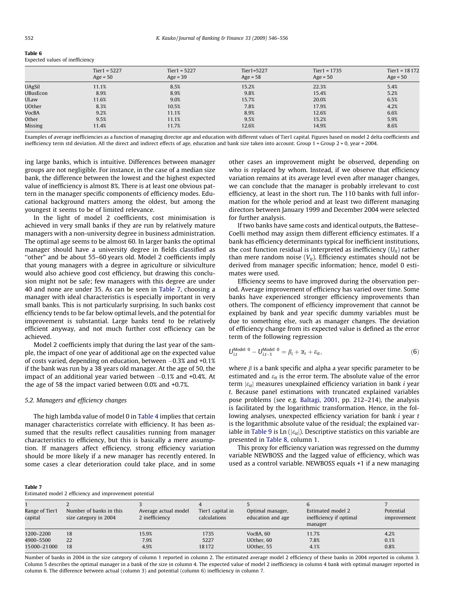<span id="page-6-0"></span>Table 6

| ------- |  |                                 |
|---------|--|---------------------------------|
|         |  | Expected values of inefficiency |

|               | Tier $1 = 5227$<br>$Age = 50$ | Tier $1 = 5227$<br>$Age = 39$ | Tier1=5227<br>$Age = 58$ | Tier $1 = 1735$<br>$Age = 50$ | Tier $1 = 18172$<br>$Age = 50$ |
|---------------|-------------------------------|-------------------------------|--------------------------|-------------------------------|--------------------------------|
| <b>UAgSil</b> | 11.1%                         | 8.5%                          | 15.2%                    | 22.3%                         | 5.4%                           |
| UBusEcon      | 8.9%                          | 8.9%                          | 9.8%                     | 15.4%                         | 5.2%                           |
| ULaw          | 11.6%                         | 9.0%                          | 15.7%                    | 20.0%                         | 6.5%                           |
| <b>UOther</b> | 8.3%                          | 10.5%                         | 7.8%                     | 17.9%                         | 4.2%                           |
| VocBA         | 9.2%                          | 11.1%                         | 8.9%                     | 12.6%                         | 6.6%                           |
| Other         | 9.5%                          | 11.1%                         | 9.5%                     | 15.2%                         | 5.9%                           |
| Missing       | 11.4%                         | 11.7%                         | 12.6%                    | 14.9%                         | 8.6%                           |

Examples of average inefficiencies as a function of managing director age and education with different values of Tier1 capital. Figures based on model 2 delta coefficients and inefficiency term std deviation. All the direct and indirect effects of age, education and bank size taken into account. Group 1 = Group 2 = 0, year = 2004.

ing large banks, which is intuitive. Differences between manager groups are not negligible. For instance, in the case of a median size bank, the difference between the lowest and the highest expected value of inefficiency is almost 8%. There is at least one obvious pattern in the manager specific components of efficiency modes. Educational background matters among the oldest, but among the youngest it seems to be of limited relevance.

In the light of model 2 coefficients, cost minimisation is achieved in very small banks if they are run by relatively mature managers with a non-university degree in business administration. The optimal age seems to be almost 60. In larger banks the optimal manager should have a university degree in fields classified as ''other" and be about 55–60 years old. Model 2 coefficients imply that young managers with a degree in agriculture or silviculture would also achieve good cost efficiency, but drawing this conclusion might not be safe; few managers with this degree are under 40 and none are under 35. As can be seen in Table 7, choosing a manager with ideal characteristics is especially important in very small banks. This is not particularly surprising. In such banks cost efficiency tends to be far below optimal levels, and the potential for improvement is substantial. Large banks tend to be relatively efficient anyway, and not much further cost efficiency can be achieved.

Model 2 coefficients imply that during the last year of the sample, the impact of one year of additional age on the expected value of costs varied, depending on education, between –0.3% and +0.1% if the bank was run by a 38 years old manager. At the age of 50, the impact of an additional year varied between –0.1% and +0.4%. At the age of 58 the impact varied between 0.0% and +0.7%.

### 5.2. Managers and efficiency changes

The high lambda value of model 0 in [Table 4](#page-4-0) implies that certain manager characteristics correlate with efficiency. It has been assumed that the results reflect causalities running from manager characteristics to efficiency, but this is basically a mere assumption. If managers affect efficiency, strong efficiency variation should be more likely if a new manager has recently entered. In some cases a clear deterioration could take place, and in some other cases an improvement might be observed, depending on who is replaced by whom. Instead, if we observe that efficiency variation remains at its average level even after manager changes, we can conclude that the manager is probably irrelevant to cost efficiency, at least in the short run. The 110 banks with full information for the whole period and at least two different managing directors between January 1999 and December 2004 were selected for further analysis.

If two banks have same costs and identical outputs, the Battese– Coelli method may assign them different efficiency estimates. If a bank has efficiency determinants typical for inefficient institutions, the cost function residual is interpreted as inefficiency  $(U_{it})$  rather than mere random noise  $(V_{it})$ . Efficiency estimates should not be derived from manager specific information; hence, model 0 estimates were used.

Efficiency seems to have improved during the observation period. Average improvement of efficiency has varied over time. Some banks have experienced stronger efficiency improvements than others. The component of efficiency improvement that cannot be explained by bank and year specific dummy variables must be due to something else, such as manager changes. The deviation of efficiency change from its expected value is defined as the error term of the following regression

$$
U_{i,t}^{\text{Model 0}} - U_{i,t-1}^{\text{Model 0}} = \beta_i + \alpha_t + \varepsilon_{it}, \tag{6}
$$

where  $\beta$  is a bank specific and alpha a year specific parameter to be estimated and  $\varepsilon_{it}$  is the error term. The absolute value of the error term  $|\varepsilon_{it}|$  measures unexplained efficiency variation in bank *i* year t. Because panel estimations with truncated explained variables pose problems (see e.g. [Baltagi, 2001](#page-10-0), pp. 212–214), the analysis is facilitated by the logarithmic transformation. Hence, in the following analyses, unexpected efficiency variation for bank *i* year *t* is the logarithmic absolute value of the residual; the explained var-iable in [Table 9](#page-7-0) is Ln ( $|\varepsilon_{it}|$ ). Descriptive statistics on this variable are presented in [Table 8,](#page-7-0) column 1.

This proxy for efficiency variation was regressed on the dummy variable NEWBOSS and the lagged value of efficiency, which was used as a control variable. NEWBOSS equals +1 if a new managing

|--|--|

| Estimated model 2 efficiency and improvement potential |  |  |  |  |  |
|--------------------------------------------------------|--|--|--|--|--|
|--------------------------------------------------------|--|--|--|--|--|

| Estimated moder z emercity and improvement potential |                                                  |                                        |                                  |                                       |                                                         |                          |
|------------------------------------------------------|--------------------------------------------------|----------------------------------------|----------------------------------|---------------------------------------|---------------------------------------------------------|--------------------------|
| Range of Tier1<br>capital                            | Number of banks in this<br>size category in 2004 | Average actual model<br>2 inefficiency | Tier1 capital in<br>calculations | Optimal manager,<br>education and age | Estimated model 2<br>inefficiency if optimal<br>manager | Potential<br>improvement |
| 1200-2200<br>4900-5500<br>15000-21000                | 18<br>22<br>18                                   | 15.9%<br>7.9%<br>4.9%                  | 1735<br>5227<br>18172            | VocBA, 60<br>UOther, 60<br>UOther, 55 | 11.7%<br>7.8%<br>4.1%                                   | 4.2%<br>0.1%<br>0.8%     |

Number of banks in 2004 in the size category of column 1 reported in column 2. The estimated average model 2 efficiency of these banks in 2004 reported in column 3. Column 5 describes the optimal manager in a bank of the size in column 4. The expected value of model 2 inefficiency in column 4 bank with optimal manager reported in column 6. The difference between actual (column 3) and potential (column 6) inefficiency in column 7.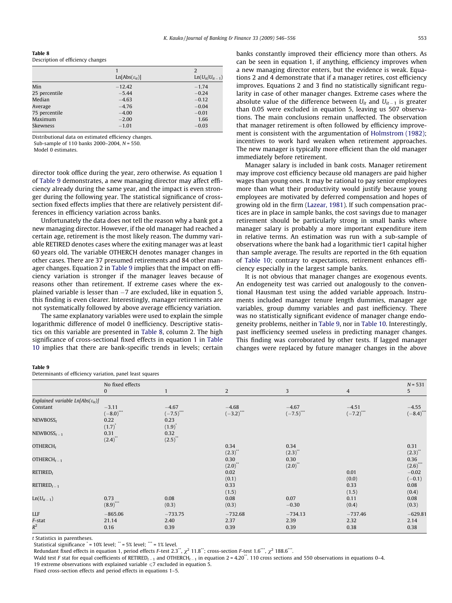<span id="page-7-0"></span>

| Table 8 |                                   |  |
|---------|-----------------------------------|--|
|         | Description of efficiency changes |  |

|               |                             | 2                     |
|---------------|-----------------------------|-----------------------|
|               | $Ln[Abs(\varepsilon_{it})]$ | $Ln(U_{it}/U_{it-1})$ |
| Min           | $-12.42$                    | $-1.74$               |
| 25 percentile | $-5.44$                     | $-0.24$               |
| Median        | $-4.63$                     | $-0.12$               |
| Average       | $-4.76$                     | $-0.04$               |
| 75 percentile | $-4.00$                     | $-0.01$               |
| Maximum       | $-2.00$                     | 1.66                  |
| Skewness      | $-1.01$                     | $-0.03$               |
|               |                             |                       |

Distributional data on estimated efficiency changes.

Sub-sample of 110 banks 2000–2004, N = 550.

Model 0 estimates.

director took office during the year, zero otherwise. As equation 1 of Table 9 demonstrates, a new managing director may affect efficiency already during the same year, and the impact is even stronger during the following year. The statistical significance of crosssection fixed effects implies that there are relatively persistent differences in efficiency variation across banks.

Unfortunately the data does not tell the reason why a bank got a new managing director. However, if the old manager had reached a certain age, retirement is the most likely reason. The dummy variable RETIRED denotes cases where the exiting manager was at least 60 years old. The variable OTHERCH denotes manager changes in other cases. There are 37 presumed retirements and 84 other manager changes. Equation 2 in Table 9 implies that the impact on efficiency variation is stronger if the manager leaves because of reasons other than retirement. If extreme cases where the explained variable is lesser than –7 are excluded, like in equation 5, this finding is even clearer. Interestingly, manager retirements are not systematically followed by above average efficiency variation.

The same explanatory variables were used to explain the simple logarithmic difference of model 0 inefficiency. Descriptive statistics on this variable are presented in Table 8, column 2. The high significance of cross-sectional fixed effects in equation 1 in [Table](#page-8-0) [10](#page-8-0) implies that there are bank-specific trends in levels; certain banks constantly improved their efficiency more than others. As can be seen in equation 1, if anything, efficiency improves when a new managing director enters, but the evidence is weak. Equations 2 and 4 demonstrate that if a manager retires, cost efficiency improves. Equations 2 and 3 find no statistically significant regularity in case of other manager changes. Extreme cases where the absolute value of the difference between  $U_{it}$  and  $U_{it-1}$  is greater than 0.05 were excluded in equation 5, leaving us 507 observations. The main conclusions remain unaffected. The observation that manager retirement is often followed by efficiency improvement is consistent with the argumentation of [Holmstrom \(1982\);](#page-10-0) incentives to work hard weaken when retirement approaches. The new manager is typically more efficient than the old manager immediately before retirement.

Manager salary is included in bank costs. Manager retirement may improve cost efficiency because old managers are paid higher wages than young ones. It may be rational to pay senior employees more than what their productivity would justify because young employees are motivated by deferred compensation and hopes of growing old in the firm [\(Lazear, 1981\)](#page-10-0). If such compensation practices are in place in sample banks, the cost savings due to manager retirement should be particularly strong in small banks where manager salary is probably a more important expenditure item in relative terms. An estimation was run with a sub-sample of observations where the bank had a logarithmic tier1 capital higher than sample average. The results are reported in the 6th equation of [Table 10](#page-8-0); contrary to expectations, retirement enhances efficiency especially in the largest sample banks.

It is not obvious that manager changes are exogenous events. An endogeneity test was carried out analogously to the conventional Hausman test using the added variable approach. Instruments included manager tenure length dummies, manager age variables, group dummy variables and past inefficiency. There was no statistically significant evidence of manager change endogeneity problems, neither in Table 9, nor in [Table 10.](#page-8-0) Interestingly, past inefficiency seemed useless in predicting manager changes. This finding was corroborated by other tests. If lagged manager changes were replaced by future manager changes in the above

#### Table 9

Determinants of efficiency variation, panel least squares

|                                                | No fixed effects           |                            |                                    |                           |                                    |                                |  |
|------------------------------------------------|----------------------------|----------------------------|------------------------------------|---------------------------|------------------------------------|--------------------------------|--|
|                                                | $\bf{0}$                   |                            | 2                                  | 3                         | $\overline{4}$                     | 5                              |  |
| Explained variable $Ln[Abs(\varepsilon_{it})]$ |                            |                            |                                    |                           |                                    |                                |  |
| Constant                                       | $-3.11$<br>$(-8.0)$ ***    | $-4.67$<br>$(-7.5)$ ***    | $-4.68$<br>$(-3.2)$ <sup>***</sup> | $-4.67$<br>$(-7.5)^{***}$ | $-4.51$<br>$(-7.2)$ <sup>***</sup> | $-4.55$<br>$(-8.4)$            |  |
| NEWBOSS <sub>r</sub>                           | 0.22<br>$(1.7)^{^{\circ}}$ | 0.23<br>$(1.9)^{^{\circ}}$ |                                    |                           |                                    |                                |  |
| $NEWBOSS_{t-1}$                                | 0.31<br>$(2.4)$ **         | 0.32<br>$(2.5)$ **         |                                    |                           |                                    |                                |  |
| OTHERCH $t$                                    |                            |                            | 0.34<br>$(2.3)$ **                 | 0.34<br>(2.3)             |                                    | 0.31<br>$(2.3)^{^{\circ}}$     |  |
| OTHERCH $_{t-1}$                               |                            |                            | 0.30<br>$(2.0)$ **                 | 0.30<br>$(2.0)$ **        |                                    | 0.36<br>$(2.6)$ <sup>***</sup> |  |
| RETIRED <sub>t</sub>                           |                            |                            | 0.02<br>(0.1)                      |                           | 0.01<br>(0.0)                      | $-0.02$<br>$(-0.1)$            |  |
| $RETIRED_{t-1}$                                |                            |                            | 0.33<br>(1.5)                      |                           | 0.33<br>(1.5)                      | 0.08<br>(0.4)                  |  |
| $Ln(U_{it-1})$                                 | 0.73<br>$(8.9)$ ***        | 0.08<br>(0.3)              | 0.08<br>(0.3)                      | 0.07<br>$-0.30$           | 0.11<br>(0.4)                      | 0.08<br>(0.3)                  |  |
| LLF                                            | $-865.06$                  | $-733.75$                  | $-732.68$                          | $-734.13$                 | $-737.46$                          | $-629.81$                      |  |
| F-stat<br>$R^2$                                | 21.14<br>0.16              | 2.40<br>0.39               | 2.37<br>0.39                       | 2.39<br>0.39              | 2.32<br>0.38                       | 2.14<br>0.38                   |  |

t Statistics in parentheses.

Statistical significance  $* = 10\%$  level;  $* = 5\%$  level;  $* = 1\%$  level.

Redundant fixed effects in equation 1, period effects F-test 2.3\*\*,  $\chi^2$  11.8\*\*; cross-section F-test 1.6\*\*\*,  $\chi^2$  188.6\*\*\*.

Wald test F stat for equal coefficients of RETIRED<sub>t-1</sub> and OTHERCH<sub>t-1</sub> in equation 2 = 4.20<sup>\*</sup>. 110 cross sections and 550 observations in equations 0-4. 19 extreme observations with explained variable  $\leq 7$  excluded in equation 5.

Fixed cross-section effects and period effects in equations 1–5.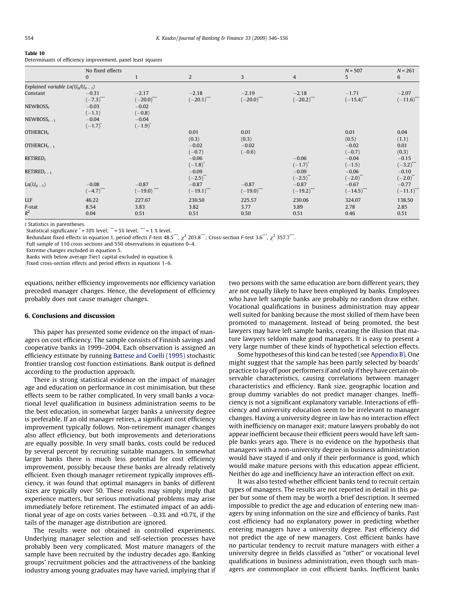#### <span id="page-8-0"></span>Table 10

| Determinants of efficiency improvement, panel least squares |  |  |  |  |  |  |  |
|-------------------------------------------------------------|--|--|--|--|--|--|--|
|-------------------------------------------------------------|--|--|--|--|--|--|--|

|                                          | No fixed effects                   |                                | $N = 507$                | $N = 261$                |                                     |                          |                          |
|------------------------------------------|------------------------------------|--------------------------------|--------------------------|--------------------------|-------------------------------------|--------------------------|--------------------------|
|                                          | 0                                  |                                | $\overline{2}$           | 3                        | $\overline{4}$                      | 5                        | 6                        |
| Explained variable $Ln(U_{it}/U_{it-1})$ |                                    |                                |                          |                          |                                     |                          |                          |
| Constant                                 | $-0.31$<br>$(-7.3)$ <sup>***</sup> | $-2.17$<br>$(-20.0)$ ***       | $-2.18$<br>$(-20.1)$ *** | $-2.19$<br>$(-20.0)$     | $-2.18$<br>$(-20.2)$ <sup>***</sup> | $-1.71$<br>$(-15.4)$ *** | $-2.07$<br>$(-11.6)$ *** |
| NEWBOSS <sub>r</sub>                     | $-0.03$<br>$(-1.1)$                | $-0.02$<br>$(-0.8)$            |                          |                          |                                     |                          |                          |
| $NEWBOSS_{t-1}$                          | $-0.04$<br>$(-1.7)^{^{\circ}}$     | $-0.04$<br>$(-1.9)^{^{\circ}}$ |                          |                          |                                     |                          |                          |
| OTHERCH $t$                              |                                    |                                | 0.01<br>(0.3)            | 0.01<br>(0.3)            |                                     | 0.01<br>(0.5)            | 0.04<br>(1.1)            |
| OTHERCH $_{t-1}$                         |                                    |                                | $-0.02$<br>$(-0.7)$      | $-0.02$<br>$(-0.6)$      |                                     | $-0.02$<br>$(-0.7)$      | 0.01<br>(0.3)            |
| RETIRED <sub>t</sub>                     |                                    |                                | $-0.06$<br>$(-1.8)^{r}$  |                          | $-0.06$<br>$(-1.7)^{*}$             | $-0.04$<br>$(-1.5)$      | $-0.15$<br>$(-3.2)^{4}$  |
| $RETIRED_{t-1}$                          |                                    |                                | $-0.09$<br>$(-2.5)^{**}$ |                          | $-0.09$<br>$(-2.5)^{**}$            | $-0.06$<br>$(-2.0)^{4}$  | $-0.10$<br>$(-2.0)^{**}$ |
| $Ln(U_{it-1})$                           | $-0.08$<br>$(-4.7)$                | $-0.87$<br>$(-19.0)$ ***       | $-0.87$<br>$(-19.1)$ *** | $-0.87$<br>$(-19.0)$ *** | $-0.87$<br>$(-19.2)$ ***            | $-0.67$<br>$(-14.5)$ *** | $-0.77$<br>$(-11.1)$ *** |
| LLF                                      | 46.22                              | 227.67                         | 230.50                   | 225.57                   | 230.06                              | 324.07                   | 138.50                   |
| F-stat<br>$R^2$                          | 8.54<br>0.04                       | 3.83<br>0.51                   | 3.82<br>0.51             | 3.77<br>0.50             | 3.89<br>0.51                        | 2.78<br>0.46             | 2.85<br>0.51             |

t Statistics in parentheses.

Statistical significance  $i = 10\%$  level;  $i * = 5\%$  level;  $i * = 1\%$  level.

Redundant fixed effects in equation 1, period effects F-test 48.5\*\*,  $\gamma^2$  203.8\*\*\*; Cross-section F-test 3.6\*\*,  $\gamma^2$  357.7\*\*\*.

Full sample of 110 cross sections and 550 observations in equations 0–4.

Extreme changes excluded in equation 5.

Banks with below average Tier1 capital excluded in equation 6.

Fixed cross-section effects and period effects in equations 1–6.

equations, neither efficiency improvements nor efficiency variation preceded manager changes. Hence, the development of efficiency probably does not cause manager changes.

## 6. Conclusions and discussion

This paper has presented some evidence on the impact of managers on cost efficiency. The sample consists of Finnish savings and cooperative banks in 1999–2004. Each observation is assigned an efficiency estimate by running [Battese and Coelli \(1995\)](#page-10-0) stochastic frontier translog cost function estimations. Bank output is defined according to the production approach.

There is strong statistical evidence on the impact of manager age and education on performance in cost minimisation, but these effects seem to be rather complicated. In very small banks a vocational level qualification in business administration seems to be the best education, in somewhat larger banks a university degree is preferable. If an old manager retires, a significant cost efficiency improvement typically follows. Non-retirement manager changes also affect efficiency, but both improvements and deteriorations are equally possible. In very small banks, costs could be reduced by several percent by recruiting suitable managers. In somewhat larger banks there is much less potential for cost efficiency improvement, possibly because these banks are already relatively efficient. Even though manager retirement typically improves efficiency, it was found that optimal managers in banks of different sizes are typically over 50. These results may simply imply that experience matters, but serious motivational problems may arise immediately before retirement. The estimated impact of an additional year of age on costs varies between –0.3% and +0.7%, if the tails of the manager age distribution are ignored.

The results were not obtained in controlled experiments. Underlying manager selection and self-selection processes have probably been very complicated. Most mature managers of the sample have been recruited by the industry decades ago. Banking groups' recruitment policies and the attractiveness of the banking industry among young graduates may have varied, implying that if two persons with the same education are born different years, they are not equally likely to have been employed by banks. Employees who have left sample banks are probably no random draw either. Vocational qualifications in business administration may appear well suited for banking because the most skilled of them have been promoted to management. Instead of being promoted, the best lawyers may have left sample banks, creating the illusion that mature lawyers seldom make good managers. It is easy to present a very large number of these kinds of hypothetical selection effects.

Some hypotheses of this kind can be tested (see [Appendix B](#page-9-0)). One might suggest that the sample has been partly selected by boards' practice to lay off poor performers if and only if they have certain observable characteristics, causing correlations between manager characteristics and efficiency. Bank size, geographic location and group dummy variables do not predict manager changes. Inefficiency is not a significant explanatory variable. Interactions of efficiency and university education seem to be irrelevant to manager changes. Having a university degree in law has no interaction effect with inefficiency on manager exit; mature lawyers probably do not appear inefficient because their efficient peers would have left sample banks years ago. There is no evidence on the hypothesis that managers with a non-university degree in business administration would have stayed if and only if their performance is good, which would make mature persons with this education appear efficient. Neither do age and inefficiency have an interaction effect on exit.

It was also tested whether efficient banks tend to recruit certain types of managers. The results are not reported in detail in this paper but some of them may be worth a brief description. It seemed impossible to predict the age and education of entering new managers by using information on the size and efficiency of banks. Past cost efficiency had no explanatory power in predicting whether entering managers have a university degree. Past efficiency did not predict the age of new managers. Cost efficient banks have no particular tendency to recruit mature managers with either a university degree in fields classified as "other" or vocational level qualifications in business administration, even though such managers are commonplace in cost efficient banks. Inefficient banks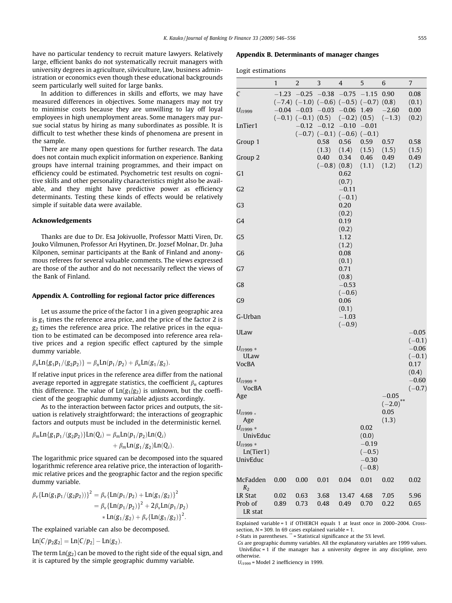<span id="page-9-0"></span>have no particular tendency to recruit mature lawyers. Relatively large, efficient banks do not systematically recruit managers with university degrees in agriculture, silviculture, law, business administration or economics even though these educational backgrounds seem particularly well suited for large banks.

In addition to differences in skills and efforts, we may have measured differences in objectives. Some managers may not try to minimise costs because they are unwilling to lay off loyal employees in high unemployment areas. Some managers may pursue social status by hiring as many subordinates as possible. It is difficult to test whether these kinds of phenomena are present in the sample.

There are many open questions for further research. The data does not contain much explicit information on experience. Banking groups have internal training programmes, and their impact on efficiency could be estimated. Psychometric test results on cognitive skills and other personality characteristics might also be available, and they might have predictive power as efficiency determinants. Testing these kinds of effects would be relatively simple if suitable data were available.

#### Acknowledgements

Thanks are due to Dr. Esa Jokivuolle, Professor Matti Viren, Dr. Jouko Vilmunen, Professor Ari Hyytinen, Dr. Jozsef Molnar, Dr. Juha Kilponen, seminar participants at the Bank of Finland and anonymous referees for several valuable comments. The views expressed are those of the author and do not necessarily reflect the views of the Bank of Finland.

#### Appendix A. Controlling for regional factor price differences

Let us assume the price of the factor 1 in a given geographic area is  $g_1$  times the reference area price, and the price of the factor 2 is  $g_2$  times the reference area price. The relative prices in the equation to be estimated can be decomposed into reference area relative prices and a region specific effect captured by the simple dummy variable.

# $\beta_n$ Ln{g<sub>1</sub>p<sub>1</sub>/(g<sub>2</sub>p<sub>2</sub>)} =  $\beta_n$ Ln(p<sub>1</sub>/p<sub>2</sub>) +  $\beta_n$ Ln(g<sub>1</sub>/g<sub>2</sub>).

If relative input prices in the reference area differ from the national average reported in aggregate statistics, the coefficient  $\beta_n$  captures this difference. The value of  $Ln(g_1/g_2)$  is unknown, but the coefficient of the geographic dummy variable adjusts accordingly.

As to the interaction between factor prices and outputs, the situation is relatively straightforward; the interactions of geographic factors and outputs must be included in the deterministic kernel.

$$
\beta_m \text{Ln}\{g_1 p_1 / (g_2 p_2)\} \text{Ln}(Q_i) = \beta_m \text{Ln}(p_1 / p_2) \text{Ln}(Q_i) + \beta_m \text{Ln}(g_1 / g_2) \text{Ln}(Q_i).
$$

The logarithmic price squared can be decomposed into the squared logarithmic reference area relative price, the interaction of logarithmic relative prices and the geographic factor and the region specific dummy variable.

$$
\beta_{\nu} {\ln(g_1 p_1/(g_2 p_2))}^2 = \beta_{\nu} {\ln(p_1/p_2) + \ln(g_1/g_2)}^2
$$
  
=  $\beta_{\nu} {\ln(p_1/p_2)}^2 + 2\beta_{\nu} \ln(p_1/p_2)$   

$$
* \ln(g_1/g_2) + \beta_{\nu} {\ln(g_1/g_2)}^2.
$$

The explained variable can also be decomposed.

$$
Ln[C/p_2g_2] = Ln[C/p_2] - Ln(g_2).
$$

The term  $Ln(g<sub>2</sub>)$  can be moved to the right side of the equal sign, and it is captured by the simple geographic dummy variable.

# Appendix B. Determinants of manager changes

Logit estimations

|                        | 1       | 2                                            | 3                | 4                                   | 5             | 6             | 7                   |
|------------------------|---------|----------------------------------------------|------------------|-------------------------------------|---------------|---------------|---------------------|
| $\mathcal{C}_{0}^{2}$  | $-1.23$ | $-0.25$                                      | $-0.38$          | $-0.75$ $-1.15$                     |               | 0.90          | 0.08                |
|                        |         | $(-7.4)$ $(-1.0)$ $(-0.6)$ $(-0.5)$ $(-0.7)$ |                  |                                     |               | (0.8)         | (0.1)               |
| $U_{i1999}$            | $-0.04$ | $-0.03$                                      | $-0.03$          | $-0.06$                             | 1.49          | $-2.60$       | 0.00                |
|                        |         | $(-0.1)$ $(-0.1)$ $(0.5)$                    |                  | $(-0.2)$ $(0.5)$                    |               | $(-1.3)$      | (0.2)               |
| LnTier1                |         | $-0.12$                                      | $-0.12$          | $-0.10$                             | $-0.01$       |               |                     |
|                        |         |                                              |                  | $(-0.7)$ $(-0.1)$ $(-0.6)$ $(-0.1)$ |               |               |                     |
| Group 1                |         |                                              | 0.58             | 0.56                                | 0.59          | 0.57          | 0.58                |
| Group 2                |         |                                              | (1.3)<br>0.40    | (1.4)<br>0.34                       | (1.5)<br>0.46 | (1.5)<br>0.49 | (1.5)<br>0.49       |
|                        |         |                                              | $(-0.8)$ $(0.8)$ |                                     | (1.1)         | (1.2)         | (1.2)               |
| G <sub>1</sub>         |         |                                              |                  | 0.62                                |               |               |                     |
|                        |         |                                              |                  | (0.7)                               |               |               |                     |
| G2                     |         |                                              |                  | $-0.11$                             |               |               |                     |
|                        |         |                                              |                  | $(-0.1)$                            |               |               |                     |
| G3                     |         |                                              |                  | 0.20                                |               |               |                     |
|                        |         |                                              |                  | (0.2)                               |               |               |                     |
| G4                     |         |                                              |                  | 0.19                                |               |               |                     |
|                        |         |                                              |                  | (0.2)                               |               |               |                     |
| G5                     |         |                                              |                  | 1.12                                |               |               |                     |
|                        |         |                                              |                  | (1.2)                               |               |               |                     |
| G6                     |         |                                              |                  | 0.08                                |               |               |                     |
| G7                     |         |                                              |                  | (0.1)<br>0.71                       |               |               |                     |
|                        |         |                                              |                  | (0.8)                               |               |               |                     |
| G8                     |         |                                              |                  | $-0.53$                             |               |               |                     |
|                        |         |                                              |                  | $(-0.6)$                            |               |               |                     |
| G9                     |         |                                              |                  | 0.06                                |               |               |                     |
|                        |         |                                              |                  | (0.1)                               |               |               |                     |
| G-Urban                |         |                                              |                  | $-1.03$                             |               |               |                     |
|                        |         |                                              |                  | $(-0.9)$                            |               |               |                     |
| <b>ULaw</b>            |         |                                              |                  |                                     |               |               | $-0.05$             |
|                        |         |                                              |                  |                                     |               |               | $(-0.1)$            |
| $U_{i1999}$ *          |         |                                              |                  |                                     |               |               | $-0.06$             |
| ULaw                   |         |                                              |                  |                                     |               |               | $(-0.1)$            |
| VocBA                  |         |                                              |                  |                                     |               |               | 0.17                |
|                        |         |                                              |                  |                                     |               |               | (0.4)               |
| $U_{i1999}$ *<br>VocBA |         |                                              |                  |                                     |               |               | $-0.60$<br>$(-0.7)$ |
| Age                    |         |                                              |                  |                                     |               | $-0.05$       |                     |
|                        |         |                                              |                  |                                     |               | $(-2.0)$      |                     |
| $U_{i1999*}$           |         |                                              |                  |                                     |               | 0.05          |                     |
| Age                    |         |                                              |                  |                                     |               | (1.3)         |                     |
| $U_{i1999}$ *          |         |                                              |                  |                                     | 0.02          |               |                     |
| UnivEduc               |         |                                              |                  |                                     | (0.0)         |               |                     |
| $U_{i1999}$ *          |         |                                              |                  |                                     | $-0.19$       |               |                     |
| Ln(Tier1)              |         |                                              |                  |                                     | $(-0.5)$      |               |                     |
| UnivEduc               |         |                                              |                  |                                     | $-0.30$       |               |                     |
|                        |         |                                              |                  |                                     | $(-0.8)$      |               |                     |
| McFadden               | 0.00    | 0.00                                         | 0.01             | 0.04                                | 0.01          | 0.02          | 0.02                |
| R <sub>2</sub>         |         |                                              |                  |                                     |               |               |                     |
| LR Stat                | 0.02    | 0.63                                         | 3.68             | 13.47                               | 4.68          | 7.05          | 5.96                |
| Prob of                | 0.89    | 0.73                                         | 0.48             | 0.49                                | 0.70          | 0.22          | 0.65                |
| LR stat                |         |                                              |                  |                                     |               |               |                     |

Explained variable = 1 if OTHERCH equals 1 at least once in 2000–2004. Crosssection,  $N = 309$ . In 69 cases explained variable = 1.

 $t$ -Stats in parentheses.  $\ddot{\cdot}$  = Statistical significance at the 5% level.

Gs are geographic dummy variables. All the explanatory variables are 1999 values. UnivEduc = 1 if the manager has a university degree in any discipline, zero otherwise.

 $U_{i1999}$  = Model 2 inefficiency in 1999.